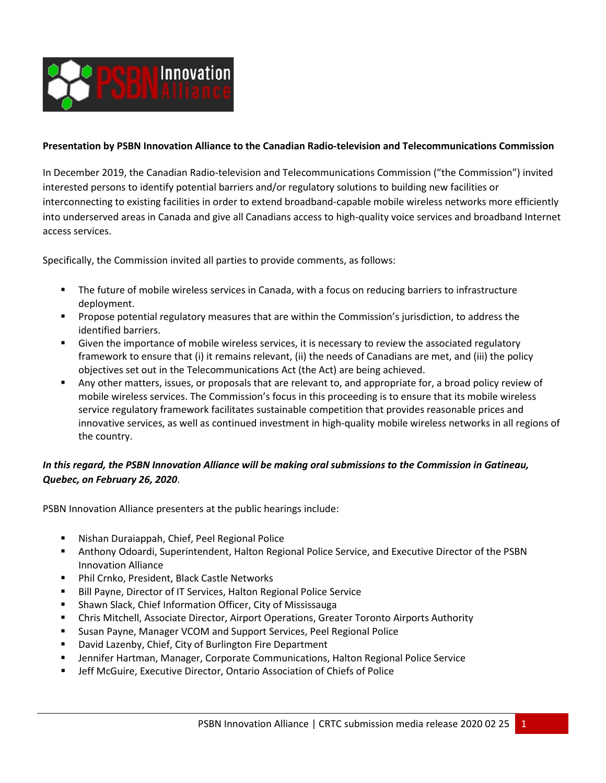

## **Presentation by PSBN Innovation Alliance to the Canadian Radio-television and Telecommunications Commission**

In December 2019, the Canadian Radio-television and Telecommunications Commission ("the Commission") invited interested persons to identify potential barriers and/or regulatory solutions to building new facilities or interconnecting to existing facilities in order to extend broadband-capable mobile wireless networks more efficiently into underserved areas in Canada and give all Canadians access to high-quality voice services and broadband Internet access services.

Specifically, the Commission invited all parties to provide comments, as follows:

- The future of mobile wireless services in Canada, with a focus on reducing barriers to infrastructure deployment.
- **Propose potential regulatory measures that are within the Commission's jurisdiction, to address the** identified barriers.
- Given the importance of mobile wireless services, it is necessary to review the associated regulatory framework to ensure that (i) it remains relevant, (ii) the needs of Canadians are met, and (iii) the policy objectives set out in the Telecommunications Act (the Act) are being achieved.
- Any other matters, issues, or proposals that are relevant to, and appropriate for, a broad policy review of mobile wireless services. The Commission's focus in this proceeding is to ensure that its mobile wireless service regulatory framework facilitates sustainable competition that provides reasonable prices and innovative services, as well as continued investment in high-quality mobile wireless networks in all regions of the country.

## *In this regard, the PSBN Innovation Alliance will be making oral submissions to the Commission in Gatineau, Quebec, on February 26, 2020*.

PSBN Innovation Alliance presenters at the public hearings include:

- Nishan Duraiappah, Chief, Peel Regional Police
- Anthony Odoardi, Superintendent, Halton Regional Police Service, and Executive Director of the PSBN Innovation Alliance
- **Phil Crnko, President, Black Castle Networks**
- **Bill Payne, Director of IT Services, Halton Regional Police Service**
- **E** Shawn Slack, Chief Information Officer, City of Mississauga
- Chris Mitchell, Associate Director, Airport Operations, Greater Toronto Airports Authority
- **EXTERGH** Susan Payne, Manager VCOM and Support Services, Peel Regional Police
- David Lazenby, Chief, City of Burlington Fire Department
- **F** Jennifer Hartman, Manager, Corporate Communications, Halton Regional Police Service
- **■** Jeff McGuire, Executive Director, Ontario Association of Chiefs of Police